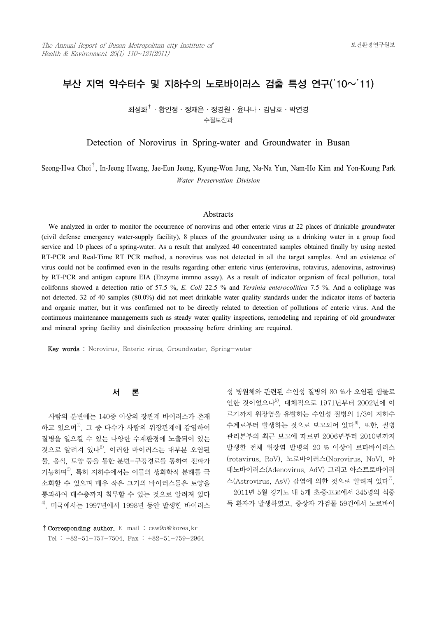# 부산 지역 약수터수 및 지하수의 노로바이러스 검출 특성 연구('10~'11)

 $1$ 최성화 $^{\dagger}$ · 황인정 · 정재은 · 정경원 · 윤나나 · 김남호 · 박연경 수질보전과

Detection of Norovirus in Spring-water and Groundwater in Busan

Seong-Hwa Choi† , In-Jeong Hwang, Jae-Eun Jeong, Kyung-Won Jung, Na-Na Yun, Nam-Ho Kim and Yon-Koung Park *Water Preservation Division*

#### **Abstracts**

We analyzed in order to monitor the occurrence of norovirus and other enteric virus at 22 places of drinkable groundwater (civil defense emergency water-supply facility), 8 places of the groundwater using as a drinking water in a group food service and 10 places of a spring-water. As a result that analyzed 40 concentrated samples obtained finally by using nested RT-PCR and Real-Time RT PCR method, a norovirus was not detected in all the target samples. And an existence of virus could not be confirmed even in the results regarding other enteric virus (enterovirus, rotavirus, adenovirus, astrovirus) by RT-PCR and antigen capture EIA (Enzyme immno assay). As a result of indicator organism of fecal pollution, total coliforms showed a detection ratio of 57.5 %, *E. Coli* 22.5 % and *Yersinia enterocolitica* 7.5 %. And a coliphage was not detected. 32 of 40 samples (80.0%) did not meet drinkable water quality standards under the indicator items of bacteria and organic matter, but it was confirmed not to be directly related to detection of pollutions of enteric virus. And the continuous maintenance managements such as steady water quality inspections, remodeling and repairing of old groundwater and mineral spring facility and disinfection processing before drinking are required.

Key words : Norovirus, Enteric virus, Groundwater, Spring-water

# 서 론

 사람의 분변에는 140종 이상의 장관계 바이러스가 존재 하고 있으며 $^{1)}$ , 그 중 다수가 사람의 위장관계에 감염하여 질병을 일으킬 수 있는 다양한 수계환경에 노출되어 있는 것으로 알려져 있다 $^{2)}$ . 이러한 바이러스는 대부분 오염된 물, 음식, 토양 등을 통한 분변-구강경로를 통하여 전파가 가능하며3), 특히 지하수에서는 이들의 생화학적 분해를 극 소화할 수 있으며 매우 작은 크기의 바이러스들은 토양을 통과하여 대수층까지 침투할 수 있는 것으로 알려져 있다  $4)$ . 미국에서는 1997년에서 1998년 동안 발생한 바이러스 성 병원체와 관련된 수인성 질병의 80 %가 오염된 샘물로 인한 것이었으나 $^{5}$ , 대체적으로 1971년부터 2002년에 이 르기까지 위장염을 유발하는 수인성 질병의 1/3이 지하수 수계로부터 발생하는 것으로 보고되어 있다<sup>6)</sup> 또한, 질병 관리본부의 최근 보고에 따르면 2006년부터 2010년까지 발생한 전체 위장염 발병의 20 % 이상이 로타바이러스 (rotavirus, RoV), 노로바이러스(Norovirus, NoV), 아 데노바이러스(Adenovirus, AdV) 그리고 아스트로바이러 스(Astrovirus, AsV) 감염에 의한 것으로 알려져 있다<sup>7)</sup>. 2011년 5월 경기도 내 5개 초․중․고교에서 345명의 식중 독 환자가 발생하였고, 증상자 가검물 59건에서 노로바이

<sup>†</sup>Corresponding author. E-mail : csw95@korea.kr Tel : +82-51-757-7504, Fax : +82-51-759-2964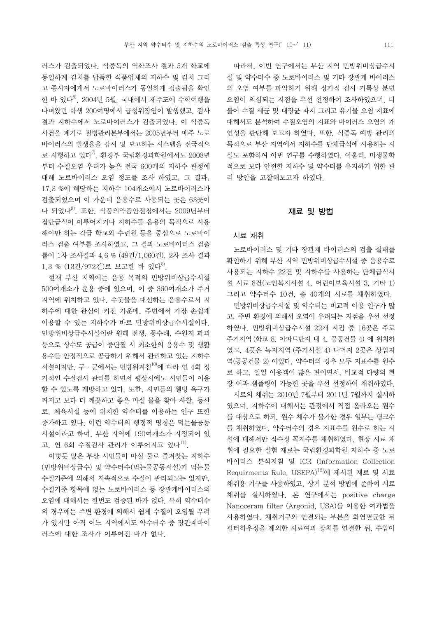러스가 검출되었다. 식중독의 역학조사 결과 5개 학교에 동일하게 김치를 납품한 식품업체의 지하수 및 김치 그리 고 종사자에게서 노로바이러스가 동일하게 검출됨을 확인 한 바 있다 $^{8}$ . 2004년 5월, 국내에서 제주도에 수학여행을 다녀왔던 학생 200여명에서 급성위장염이 발생했고, 검사 결과 지하수에서 노로바이러스가 검출되었다. 이 식중독 사건을 계기로 질병관리본부에서는 2005년부터 매주 노로 바이러스의 발생율을 감시 및 보고하는 시스템을 전국적으 로 시행하고 있다 $^{7}$ . 환경부 국립환경과학원에서도 2008년 부터 수질오염 우려가 높은 전국 600개의 지하수 관정에 대해 노로바이러스 오염 정도를 조사 하였고, 그 결과,<br>17.3 %에 해당하는 지하수 104개소에서 노로바이러스가 검출되었으며 이 가운데 음용수로 사용되는 곳은 63곳이 나 되었다9). 또한, 식품의약품안전청에서는 2009년부터 집단급식이 이루어지거나 지하수를 음용의 목적으로 사용 해야만 하는 각급 학교와 수련원 등을 중심으로 노로바이 러스 검출 여부를 조사하였고, 그 결과 노로바이러스 검출 률이 1차 조사결과 4.6 % (49건/1,060건), 2차 조사 결과 1.3 %  $(132/9722)$ 로 보고한 바 있다<sup>8)</sup>.

 현재 부산 지역에는 음용 목적의 민방위비상급수시설 500여개소가 운용 중에 있으며, 이 중 360여개소가 주거 지역에 위치하고 있다. 수돗물을 대신하는 음용수로서 지 하수에 대한 관심이 커진 가운데, 주변에서 가장 손쉽게 이용할 수 있는 지하수가 바로 민방위비상급수시설이다.<br>민방위비상급수시설이란 원래 전쟁, 풍수해, 수원지 파괴 등으로 상수도 공급이 중단될 시 최소한의 음용수 및 생활 용수를 안정적으로 공급하기 위해서 관리하고 있는 지하수 시설이지만, 구·군에서는 민방위지침 $^{10}$ 에 따라 연 4회 정 기적인 수질검사 관리를 하면서 평상시에도 시민들이 이용 할 수 있도록 개방하고 있다. 또한, 시민들의 웰빙 욕구가 커지고 보다 더 깨끗하고 좋은 마실 물을 찾아 사찰, 등산 로, 체육시설 등에 위치한 약수터를 이용하는 인구 또한 증가하고 있다. 이런 약수터의 행정적 명칭은 먹는물공동 시설이라고 하며, 부산 지역에 190여개소가 지정되어 있 고, 연 6회 수질검사 관리가 이루어지고 있다<sup>11)</sup>.

 이렇듯 많은 부산 시민들이 마실 물로 즐겨찾는 지하수 (민방위비상급수) 및 약수터수(먹는물공동시설)가 먹는물 수질기준에 의해서 지속적으로 수질이 관리되고는 있지만,<br>수질기준 항목에 없는 노로바이러스 등 장관계바이러스의 오염에 대해서는 한번도 검증된 바가 없다. 특히 약수터수 의 경우에는 주변 환경에 의해서 쉽게 수질이 오염될 우려 가 있지만 아직 어느 지역에서도 약수터수 중 장관계바이 러스에 대한 조사가 이루어진 바가 없다.

 따라서, 이번 연구에서는 부산 지역 민방위비상급수시 설 및 약수터수 중 노로바이러스 및 기타 장관계 바이러스 의 오염 여부를 파악하기 위해 정기적 검사 기록상 분변 오염이 의심되는 지점을 우선 선정하여 조사하였으며, 더 불어 수질 세균 및 대장균 파지 그리고 유기물 오염 지표에 대해서도 분석하여 수질오염의 지표와 바이러스 오염의 개 연성을 판단해 보고자 하였다. 또한, 식중독 예방 관리의 목적으로 부산 지역에서 지하수를 단체급식에 사용하는 시 설도 포함하여 이번 연구를 수행하였다. 아울러, 미생물학 적으로 보다 안전한 지하수 및 약수터를 유지하기 위한 관 리 방안을 고찰해보고자 하였다.

#### 재료 및 방법

## 시료 채취

 노로바이러스 및 기타 장관계 바이러스의 검출 실태를 확인하기 위해 부산 지역 민방위비상급수시설 중 음용수로 사용되는 지하수 22건 및 지하수를 사용하는 단체급식시 설 시료 8건(노인복지시설 4, 어린이보육시설 3, 기타 1) 그리고 약수터수 10건, 총 40개의 시료를 채취하였다.

 민방위비상급수시설 및 약수터는 비교적 이용 인구가 많 고, 주변 환경에 의해서 오염이 우려되는 지점을 우선 선정 하였다. 민방위비상급수시설 22개 지점 중 16곳은 주로 주거지역 (학교 8, 아파트단지 내 4, 공공건물 4) 에 위치하 였고, 4곳은 녹지지역 (주거시설 4) 나머지 2곳은 상업지 역(공공건물 2) 이었다. 약수터의 경우 모두 지표수를 원수 로 하고, 일일 이용객이 많은 편이면서, 비교적 다량의 현 장 여과 샘플링이 가능한 곳을 우선 선정하여 채취하였다.

 시료의 채취는 2010년 7월부터 2011년 7월까지 실시하 였으며, 지하수에 대해서는 관정에서 직접 올라오는 원수 를 대상으로 하되, 원수 채수가 불가한 경우 일부는 탱크수 를 채취하였다. 약수터수의 경우 지표수를 원수로 하는 시 설에 대해서만 집수정 꼭지수를 채취하였다. 현장 시료 채 취에 필요한 실험 재료는 국립환경과학원 지하수 중 노로 바이러스 분석지침 및 ICR (Information Collection Requirments Rule, USEPA)12)에 제시된 재료 및 시료 채취용 기구를 사용하였고, 상기 분석 방법에 준하여 시료 채취를 실시하였다. 본 연구에서는 positive charge Nanoceram filter (Argonid, USA)를 이용한 여과법을 사용하였다. 채취기구와 연결되는 부분을 화염멸균한 뒤 필터하우징을 제외한 시료여과 장치를 연결한 뒤, 수압이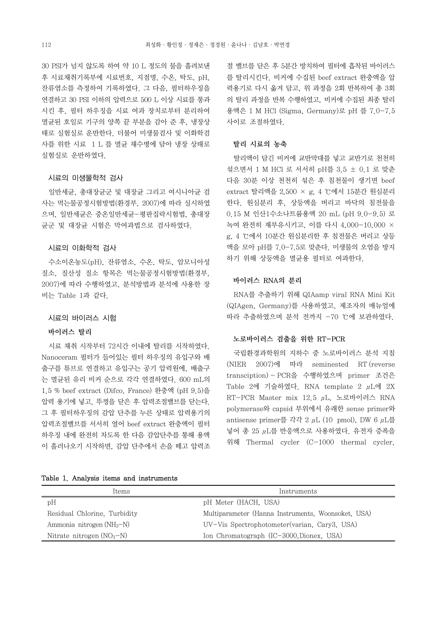30 PSI가 넘지 않도록 하여 약 10 L 정도의 물을 흘려보낸 후 시료채취기록부에 시료번호, 지점명, 수온, 탁도, pH, 잔류염소를 측정하여 기록하였다. 그 다음, 필터하우징을 연결하고 30 PSI 이하의 압력으로 500 L 이상 시료를 통과 시킨 후, 필터 하우징을 시료 여과 장치로부터 분리하여 멸균된 호일로 기구의 양쪽 끝 부분을 감아 준 후, 냉장상 태로 실험실로 운반한다. 더불어 미생물검사 및 이화학검 사를 위한 시료 1 L 를 멸균 채수병에 담아 냉장 상태로 실험실로 운반하였다.

#### 시료의 미생물학적 검사

 일반세균, 총대장균군 및 대장균 그리고 여시니아균 검 사는 먹는물공정시험방법(환경부, 2007)에 따라 실시하였 으며, 일반세균은 중온일반세균-평판집락시험법, 총대장 균군 및 대장균 시험은 막여과법으로 검사하였다.

#### 시료의 이화학적 검사

 수소이온농도(pH), 잔류염소, 수온, 탁도, 암모니아성 질소, 질산성 질소 항목은 먹는물공정시험방법(환경부,<br>2007)에 따라 수행하였고, 분석방법과 분석에 사용한 장 비는 Table 1과 같다.

#### 시료의 바이러스 시험

## 바이러스 탈리

 시료 채취 시작부터 72시간 이내에 탈리를 시작하였다. Nanoceram 필터가 들어있는 필터 하우징의 유입구와 배 출구를 튜브로 연결하고 유입구는 공기 압력원에, 배출구 는 멸균된 유리 비커 순으로 각각 연결하였다. 600 mL의 1.5 % beef extract (Difco, France) 완충액 (pH 9.5)을 압력 용기에 넣고, 뚜껑을 닫은 후 압력조절밸브를 닫는다.<br>그 후 필터하우징의 감압 단추를 누른 상태로 압력용기의 압력조절밸브를 서서히 열어 beef extract 완충액이 필터 하우징 내에 완전히 차도록 한 다음 감압단추를 통해 용액 이 흘러나오기 시작하면, 감압 단추에서 손을 떼고 압력조

| Table 1. Analysis items and instruments |  |
|-----------------------------------------|--|
|-----------------------------------------|--|

절 밸브를 닫은 후 5분간 방치하여 필터에 흡착된 바이러스 를 탈리시킨다. 비커에 수집된 beef extract 완충액을 압 력용기로 다시 옮겨 담고, 위 과정을 2회 반복하여 총 3회 의 탈리 과정을 반복 수행하였고, 비커에 수집된 최종 탈리 용액은 1 M HCl (Sigma, Germany)로 pH 를 7.0-7.5 사이로 조절하였다.

#### 탈리 시료의 농축

 탈리액이 담긴 비커에 교반막대를 넣고 교반기로 천천히 섞으면서 1 M HCl 로 서서히 pH를 3.5 ± 0.1 로 맞춘 다음 30분 이상 천천히 섞은 후 침천물이 생기면 beef extract 탈리액을 2,500 × g, 4 ℃에서 15분간 원심분리 한다. 원심분리 후, 상등액을 버리고 바닥의 침전물을 0.15 M 인산1수소나트륨용액 20 mL (pH 9.0-9.5) 로 녹여 완전히 재부유시키고, 이를 다시 4,000-10,000 × g, 4 ℃에서 10분간 원심분리한 후 침전물은 버리고 상등 액을 모아 pH를 7.0-7.5로 맞춘다. 미생물의 오염을 방지 하기 위해 상등액을 멸균용 필터로 여과한다.

#### 바이러스 RNA의 분리

 RNA를 추출하기 위해 QIAamp viral RNA Mini Kit (QIAgen, Germany)를 사용하였고, 제조자의 매뉴얼에 따라 추출하였으며 분석 전까지 -70 ℃에 보관하였다.

#### 노로바이러스 검출을 위한 RT-PCR

 국립환경과학원의 지하수 중 노로바이러스 분석 지침 (NIER 2007)에 따라 seminested RT (reverse transciption) - PCR을 수행하였으며 primer 조건은 Table 2에 기술하였다. RNA template 2 μL에 2X RT-PCR Master mix 12.5 μL, 노로바이러스 RNA polymerase와 capsid 부위에서 유래한 sense primer와 antisense primer를 각각 2 μL (10 pmol), DW 6 μL를 넣어 총 25 μL를 반응액으로 사용하였다. 유전자 증폭을 위해 Thermal cycler (C-1000 thermal cycler,

| Items                        | Instruments                                        |
|------------------------------|----------------------------------------------------|
| pH                           | pH Meter (HACH, USA)                               |
| Residual Chlorine, Turbidity | Multiparameter (Hanna Instruments, Woonsoket, USA) |
| Ammonia nitrogen $(NH_3-N)$  | UV-Vis Spectrophotometer(varian, Cary3, USA)       |
| Nitrate nitrogen $(NO3-N)$   | Ion Chromatograph (IC-3000, Dionex, USA)           |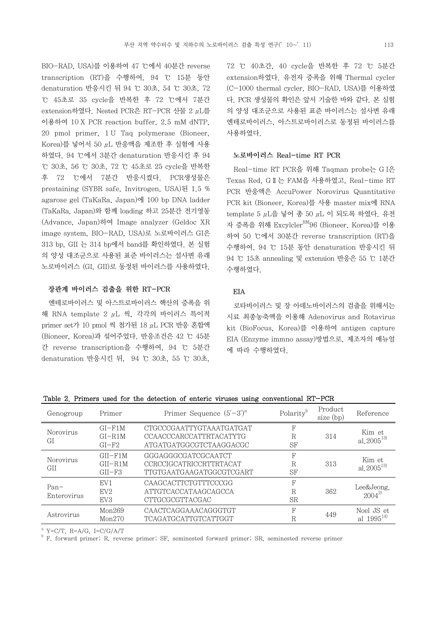BIO-RAD, USA)를 이용하여 47 ℃에서 40분간 reverse transcription (RT)을 수행하여, 94 ℃ 15분 동안 denaturation 반응시킨 뒤 94 ℃ 30초, 54 ℃ 30초, 72 ℃ 45초로 35 cycle을 반복한 후 72 ℃에서 7분간 extension하였다. Nested PCR은 RT-PCR 산물 2 μL를 이용하여 10 X PCR reaction buffer, 2.5 mM dNTP, 20 pmol primer, 1 U Taq polymerase (Bioneer,  $K$ orea)를 넣어서 50  $\mu$ L 반응액을 제조한 후 실험에 사용 하였다. 94 ℃에서 3분간 denaturation 반응시킨 후 94 ℃ 30초, 56 ℃ 30초, 72 ℃ 45초로 25 cycle을 반복한 후 72 ℃에서 7분간 반응시켰다. PCR생성물은 prestaining (SYBR safe, Invitrogen, USA)된 1.5 % agarose gel (TaKaRa, Japan)에 100 bp DNA ladder (TaKaRa, Japan)와 함께 loading 하고 25분간 전기영동 (Advance, Japan)하여 Image analyzer (Geldoc XR image system, BIO-RAD, USA)로 노로바이러스 GI은 313 bp, GII 는 314 bp에서 band를 확인하였다. 본 실험 의 양성 대조군으로 사용된 표준 바이러스는 설사변 유래 노로바이러스 (GI, GII)로 동정된 바이러스를 사용하였다.

#### 장관계 바이러스 검출을 위한 RT-PCR

 엔테로바이러스 및 아스트로바이러스 핵산의 증폭을 위 해 RNA template 2 μL 씩, 각각의 바이러스 특이적 primer set가 10 pmol 씩 첨가된 18 μL PCR 반응 혼합액 (Bioneer, Korea)과 섞어주었다. 반응조건은 42 ℃ 45분 간 reverse transcription을 수행하여, 94 ℃ 5분간 denaturation 반응시킨 뒤, 94 ℃ 30초, 55 ℃ 30초,

72 ℃ 40초간, 40 cycle을 반복한 후 72 ℃ 5분간 extension하였다. 유전자 증폭을 위해 Thermal cycler (C-1000 thermal cycler, BIO-RAD, USA)를 이용하였 다. PCR 생성물의 확인은 앞서 기술한 바와 같다. 본 실험 의 양성 대조군으로 사용된 표준 바이러스는 설사변 유래 엔테로바이러스, 아스트로바이러스로 동정된 바이러스를 사용하였다.

#### 노로바이러스 Real-time RT PCR

 Real-time RT PCR을 위해 Taqman probe는 G I은 Texas Red, GⅡ는 FAM을 사용하였고, Real-time RT PCR 반응액은 AccuPower Norovirus Quantitative PCR kit (Bioneer, Korea)를 사용 master mix에 RNA template 5 μL을 넣어 총 50 μL 이 되도록 하였다. 유전 자 증폭을 위해 Excylcler<sup>RM</sup>96 (Bioneer, Korea)를 이용 하여 50 ℃에서 30분간 reverse transcription (RT)을 수행하여, 94 ℃ 15분 동안 denaturation 반응시킨 뒤 94 ℃ 15초 annealing 및 extension 반응은 55 ℃ 1분간 수행하였다.

# EIA

 로타바이러스 및 장 아데노바이러스의 검출을 위해서는 시료 최종농축액을 이용해 Adenovirus and Rotavirus kit (BioFocus, Korea)를 이용하여 antigen capture EIA (Enzyme immno assay)방법으로, 제조자의 매뉴얼 에 따라 수행하였다.

|  |  |  |  |  |  |  |  |  | Table 2. Primers used for the detection of enteric viruses using conventional RT-PCR |  |  |
|--|--|--|--|--|--|--|--|--|--------------------------------------------------------------------------------------|--|--|
|--|--|--|--|--|--|--|--|--|--------------------------------------------------------------------------------------|--|--|

| Genogroup              | Primer                               | Primer Sequence $(5'-3')^a$                                                       | Polarity <sup>b</sup> | Product<br>size (bp) | Reference                    |
|------------------------|--------------------------------------|-----------------------------------------------------------------------------------|-----------------------|----------------------|------------------------------|
| Norovirus<br>GI        | $GI-F1M$<br>$GI - R1M$<br>$GI-F2$    | CTGCCCGAATTYGTAAATGATGAT<br>CCAACCCARCCATTRTACATYTG<br>ATGATGATGCCGTCTAAGGACGC    | F<br>R<br>SF          | 314                  | Kim et<br>al, $2005^{13}$    |
| <b>Norovirus</b><br>GH | $GII-F1M$<br>$GII - R1M$<br>$GII-F3$ | GGGAGGGCGATCGCAATCT<br><b>CCRCCIGCATRICCRTTRTACAT</b><br>TTGTGAATGAAGATGGCGTCGART | F<br>R<br>SF          | 313                  | Kim et<br>al, $2005^{13}$    |
| $Pan-$<br>Enterovirus  | EV <sub>1</sub><br>EV2<br>EV3        | CAAGCACTTCTGTTTCCCGG<br>ATTGTCACCATAAGCAGCCA<br>CTTGCGCGTTACGAC                   | F<br>R<br><b>SR</b>   | 362                  | Lee&Jeong.<br>$2004^{2}$     |
| Astrovirus             | Mon269<br>Mon270                     | CAACTCAGGAAACAGGGTGT<br><b>TCAGATGCATTGTCATTGGT</b>                               | F<br>R                | 449                  | Noel JS et<br>al $1995^{14}$ |

 $A^a$  Y=C/T, R=A/G, I=C/G/A/T

<sup>b</sup> F, forward primer; R, reverse primer; SF, seminested forward primer; SR, seminested reverse primer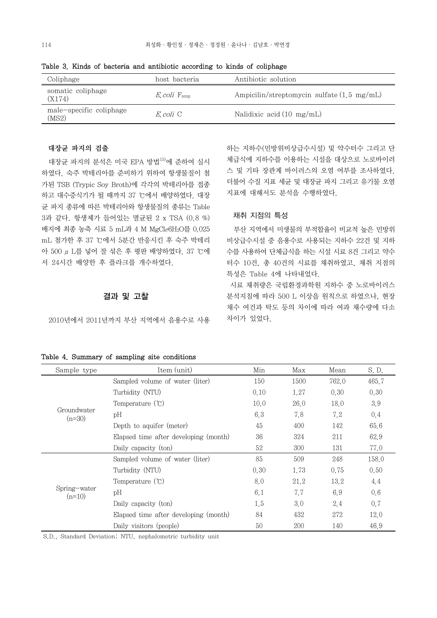| Coliphage                        | host bacteria                  | Antibiotic solution                                  |
|----------------------------------|--------------------------------|------------------------------------------------------|
| somatic coliphage<br>(X174)      | $E_{\rm c}$ coli $F_{\rm amp}$ | Ampicilin/streptomycin sulfate $(1.5 \text{ mg/mL})$ |
| male-specific coliphage<br>(MS2) | E coli C                       | Nalidixic acid $(10 \text{ mg/mL})$                  |

하는 지하수(민방위비상급수시설) 및 약수터수 그리고 단 체급식에 지하수를 이용하는 시설을 대상으로 노로바이러

더불어 수질 지표 세균 및 대장균 파지 그리고 유기물 오염

 부산 지역에서 미생물의 부적합율이 비교적 높은 민방위 비상급수시설 중 음용수로 사용되는 지하수 22건 및 지하 수를 사용하여 단체급식을 하는 시설 시료 8건 그리고 약수 터수 10건, 총 40건의 시료를 채취하였고, 채취 지점의

특성은 Table 4에 나타내었다.<br>- 시료 채취량은 국립환경과학원 지하수 중 노로바이러스

분석지침에 따라 500 L 이상을 원칙으로 하였으나, 현장 채수 여건과 탁도 등의 차이에 따라 여과 채수량에 다소

지표에 대해서도 분석을 수행하였다.

채취 지점의 특성

차이가 있었다.

Table 3. Kinds of bacteria and antibiotic according to kinds of coliphage

## 대장균 파지의 검출

 대장균 파지의 분석은 미국 EPA 방법15)에 준하여 실시 하였다. 숙주 박테리아를 준비하기 위하여 항생물질이 첨 · · · 스 및 기타 장관계 바이러스의 오염 여부를 조사하였다. 가된 TSB (Trypic Soy Broth)에 각각의 박테리아를 접종 하고 대수증식기가 될 때까지 37 ℃에서 배양하였다. 대장 균 파지 종류에 따른 박테리아와 항생물질의 종류는 Table 3과 같다. 항생제가 들어있는 멸균된 2 x TSA (0.8 %) 배지에 최종 농축 시료 5 mL과 4 M MgCl66H2O를 0.025 mL 첨가한 후 37 ℃에서 5분간 반응시킨 후 숙주 박테리 아 500 μL를 넣어 잘 섞은 후 평판 배양하였다. 37 ℃에 서 24시간 배양한 후 플라크를 개수하였다.

# 결과 및 고찰

2010년에서 2011년까지 부산 지역에서 음용수로 사용

|  |  |  |  |  | Table 4. Summary of sampling site conditions |  |
|--|--|--|--|--|----------------------------------------------|--|
|--|--|--|--|--|----------------------------------------------|--|

Sample type Item (unit) Min Max Mean S.D. Groundwater pH  $(n=30)$ Sampled volume of water (liter) 150 1500 762.0 465.7 Turbidity (NTU)  $0.10$  1.27 0.30 0.30 Temperature (℃) 10.0 26.0 18.0 3.9 pH 6.3 7.8 7.2 0.4 Depth to aquifer (meter) 45 400 142 65.6 Elapsed time after developing (month) 36 324 211 62.9 Daily capacity (ton) 52 300 131 77.0 Spring-water pH  $(n=10)$ Sampled volume of water (liter) 85 509 248 158.0 Turbidity (NTU) 0.30 1.73 0.75 0.50 Temperature  $°C)$  8.0 21.2 13.2 4.4 pH 6.1 7.7 6.9 0.6 Daily capacity (ton) 1.5 3.0 2.4 0.7 Elapsed time after developing (month) 84 432 272 12.0 Daily visitors (people) 50 200 140 46.9

S.D., Standard Deviation; NTU, nephalometric turbidity unit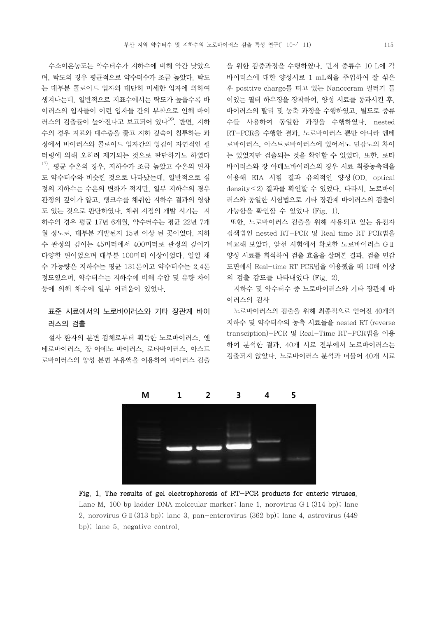수소이온농도는 약수터수가 지하수에 비해 약간 낮았으 며, 탁도의 경우 평균적으로 약수터수가 조금 높았다. 탁도 는 대부분 콜로이드 입자와 대단히 미세한 입자에 의하여 생겨나는데, 일반적으로 지표수에서는 탁도가 높을수록 바 ~~~~~ 어있는 필터 하우징을 장착하여, 양성 시료를 통과시킨 후, 이러스의 입자들이 이런 입자들 간의 부착으로 인해 바이 러스의 검출률이 높아진다고 보고되어 있다<sup>16)</sup>. 반면, 지하 수의 경우 지표와 대수층을 뚫고 지하 깊숙이 침투하는 과 정에서 바이러스와 콜로이드 입자간의 엉김이 자연적인 필 터링에 의해 오히려 제거되는 것으로 판단하기도 하였다  $^{17)}$ . 평균 수온의 경우, 지하수가 조금 높았고 수온의 편차 도 약수터수와 비슷한 것으로 나타났는데, 일반적으로 심 정의 지하수는 수온의 변화가 적지만, 일부 지하수의 경우 관정의 깊이가 얕고, 탱크수를 채취한 지하수 결과의 영향 도 있는 것으로 판단하였다. 채취 지점의 개발 시기는 지 하수의 경우 평균 17년 6개월, 약수터수는 평균 22년 7개 월 정도로, 대부분 개발된지 15년 이상 된 곳이었다. 지하 수 관정의 깊이는 45미터에서 400미터로 관정의 깊이가 다양한 편이었으며 대부분 100미터 이상이었다. 일일 채 수 가능량은 지하수는 평균 131톤이고 약수터수는 2.4톤 정도였으며, 약수터수는 지하수에 비해 수압 및 유량 차이 등에 의해 채수에 일부 어려움이 있었다.

# 표준 시료에서의 노로바이러스와 기타 장관계 바이 러스의 검출

 설사 환자의 분변 검체로부터 획득한 노로바이러스, 엔 테로바이러스, 장 아데노 바이러스, 로타바이러스, 아스트 로바이러스의 양성 분변 부유액을 이용하여 바이러스 검출 을 위한 검증과정을 수행하였다. 먼저 증류수 10 L에 각 바이러스에 대한 양성시료 1 mL씩을 주입하여 잘 섞은 후 positive charge를 띠고 있는 Nanoceram 필터가 들 바이러스의 탈리 및 농축 과정을 수행하였고, 별도로 증류 수를 사용하여 동일한 과정을 수행하였다. nested RT-PCR을 수행한 결과, 노로바이러스 뿐만 아니라 엔테 로바이러스, 아스트로바이러스에 있어서도 민감도의 차이 는 있었지만 검출되는 것을 확인할 수 있었다. 또한, 로타 바이러스와 장 아데노바이러스의 경우 시료 최종농축액을 이용해 EIA 시험 결과 유의적인 양성 (OD, optical density≤2) 결과를 확인할 수 있었다. 따라서, 노로바이 러스와 동일한 시험법으로 기타 장관계 바이러스의 검출이 가능함을 확인할 수 있었다 (Fig. 1).

또한, 노로바이러스 검출을 위해 사용되고 있는 유전자 검색법인 nested RT-PCR 및 Real time RT PCR법을 비교해 보았다. 앞선 시험에서 확보한 노로바이러스 GⅡ 양성 시료를 희석하여 검출 효율을 살펴본 결과, 검출 민감 도면에서 Real-time RT PCR법을 이용했을 때 10배 이상 의 검출 감도를 나타내었다 (Fig. 2).

 지하수 및 약수터수 중 노로바이러스와 기타 장관계 바 이러스의 검사

 노로바이러스의 검출을 위해 최종적으로 얻어진 40개의 지하수 및 약수터수의 농축 시료들을 nested RT (reverse transciption)-PCR 및 Real-Time RT-PCR법을 이용 하여 분석한 결과, 40개 시료 전부에서 노로바이러스는 검출되지 않았다. 노로바이러스 분석과 더불어 40개 시료



Fig. 1. The results of gel electrophoresis of RT-PCR products for enteric viruses. Lane M, 100 bp ladder DNA molecular marker; lane 1, norovirus G I (314 bp); lane 2, norovirus GⅡ(313 bp); lane 3, pan-enterovirus (362 bp); lane 4, astrovirus (449 bp); lane 5, negative control.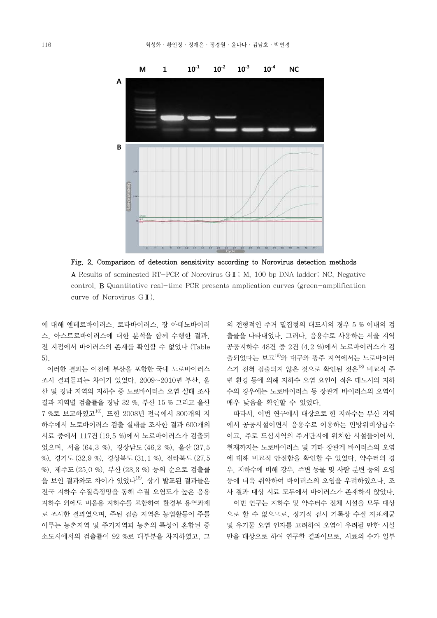

Fig. 2. Comparison of detection sensitivity according to Norovirus detection methods

A Results of seminested RT-PCR of Norovirus GⅡ; M, 100 bp DNA ladder; NC, Negative control. B Quantitative real-time PCR presents amplication curves (green-amplification curve of Norovirus GⅡ).

에 대해 엔테로바이러스, 로타바이러스, 장 아데노바이러 스, 아스트로바이러스에 대한 분석을 함께 수행한 결과,<br>전 지점에서 바이러스의 존재를 확인할 수 없었다 (Table 5).

 이러한 결과는 이전에 부산을 포함한 국내 노로바이러스 조사 결과들과는 차이가 있었다. 2009~2010년 부산, 울 산 및 경남 지역의 지하수 중 노로바이러스 오염 실태 조사 결과 지역별 검출률을 경남 32 %, 부산 15 % 그리고 울산 7 %로 보고하였고10), 또한 2008년 전국에서 300개의 지 하수에서 노로바이러스 검출 실태를 조사한 결과 600개의 시료 중에서 117건 (19.5 %)에서 노로바이러스가 검출되 었으며, 서울 (64.3 %), 경상남도 (46.2 %), 울산 (37.5 %), 경기도 (32.9 %), 경상북도 (31.1 %), 전라북도 (27.5 %), 제주도 (25.0 %), 부산 (23.3 %) 등의 순으로 검출률 을 보인 결과와도 차이가 있었다<sup>18)</sup>. 상기 발표된 결과들은 전국 지하수 수질측정망을 통해 수질 오염도가 높은 음용 지하수 외에도 비음용 지하수를 포함하여 환경부 용역과제 로 조사한 결과였으며, 주된 검출 지역은 농업활동이 주를 이루는 농촌지역 및 주거지역과 농촌의 특성이 혼합된 중 소도시에서의 검출률이 92 %로 대부분을 차지하였고, 그

외 전형적인 주거 밀집형의 대도시의 경우 5 % 이내의 검 출률을 나타내었다. 그러나, 음용수로 사용하는 서울 지역 공공지하수 48건 중 2건 (4.2 %)에서 노로바이러스가 검 출되었다는 보고19)와 대구와 광주 지역에서는 노로바이러 스가 전혀 검출되지 않은 것으로 확인된 것은<sup>18)</sup> 비교적 주 변 환경 등에 의해 지하수 오염 요인이 적은 대도시의 지하 수의 경우에는 노로바이러스 등 장관계 바이러스의 오염이 매우 낮음을 확인할 수 있었다.

 따라서, 이번 연구에서 대상으로 한 지하수는 부산 지역 에서 공공시설이면서 음용수로 이용하는 민방위비상급수 현재까지는 노로바이러스 및 기타 장관계 바이러스의 오염 에 대해 비교적 안전함을 확인할 수 있었다. 약수터의 경 우, 지하수에 비해 강우, 주변 동물 및 사람 분변 등의 오염 등에 더욱 취약하여 바이러스의 오염을 우려하였으나, 조 사 결과 대상 시료 모두에서 바이러스가 존재하지 않았다. 이번 연구는 지하수 및 약수터수 전체 시설을 모두 대상 으로 할 수 없으므로, 정기적 검사 기록상 수질 지표세균 및 유기물 오염 인자를 고려하여 오염이 우려될 만한 시설 만을 대상으로 하여 연구한 결과이므로, 시료의 수가 일부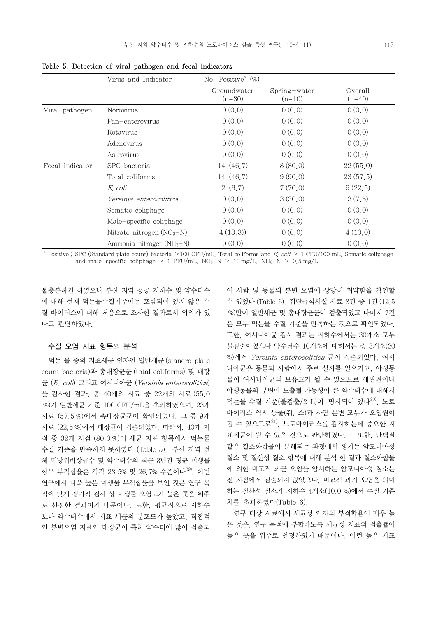|                 | Virus and Indicator         | No. Positive <sup>a</sup> $(\%)$ |                          |                     |
|-----------------|-----------------------------|----------------------------------|--------------------------|---------------------|
|                 |                             | Groundwater<br>$(n=30)$          | Spring-water<br>$(n=10)$ | Overall<br>$(n=40)$ |
| Viral pathogen  | Norovirus                   | 0(0,0)                           | 0(0,0)                   | 0(0,0)              |
|                 | Pan-enterovirus             | 0(0,0)                           | 0(0,0)                   | 0(0,0)              |
|                 | Rotavirus                   | 0(0,0)                           | 0(0,0)                   | 0(0,0)              |
|                 | Adenovirus                  | 0(0,0)                           | 0(0,0)                   | 0(0,0)              |
|                 | Astrovirus                  | 0(0,0)                           | 0(0,0)                   | 0(0,0)              |
| Fecal indicator | SPC bacteria                | 14 (46.7)                        | 8(80,0)                  | 22(55,0)            |
|                 | Total coliforms             | 14 (46.7)                        | 9(90,0)                  | 23(57,5)            |
|                 | E. coli                     | 2(6,7)                           | 7(70,0)                  | 9(22,5)             |
|                 | Yersinia enterocolitica     | 0(0,0)                           | 3(30,0)                  | 3(7,5)              |
|                 | Somatic coliphage           | 0(0,0)                           | 0(0,0)                   | 0(0,0)              |
|                 | Male-specific coliphage     | 0(0,0)                           | 0(0,0)                   | 0(0,0)              |
|                 | Nitrate nitrogen $(NO3–N)$  | 4(13,3)                          | 0(0,0)                   | 4(10,0)             |
|                 | Ammonia nitrogen $(NH_3-N)$ | 0(0,0)                           | 0(0,0)                   | 0(0,0)              |

Table 5. Detection of viral pathogen and fecal indicators

<sup>a</sup> Positive ; SPC (Standard plate count) bacteria  $\geq 100$  CFU/mL, Total coliforms and E. coli  $\geq 1$  CFU/100 mL, Somatic coliphage and male-specific coliphage  $\geq 1$  PFU/mL, NO<sub>3</sub>-N  $\geq 10$  mg/L, NH<sub>3</sub>-N  $\geq 0.5$  mg/L

불충분하긴 하였으나 부산 지역 공공 지하수 및 약수터수 에 대해 현재 먹는물수질기준에는 포함되어 있지 않은 수 질 바이러스에 대해 처음으로 조사한 결과로서 의의가 있 다고 판단하였다.

#### 수질 오염 지표 항목의 분석

 먹는 물 중의 지표세균 인자인 일반세균 (standrd plate count bacteria)과 총대장균군 (total coliforms) 및 대장 균 (E. coli) 그리고 여시니아균 (Yersinia enterocolitica) 을 검사한 결과, 총 40개의 시료 중 22개의 시료 (55.0 %)가 일반세균 기준 100 CFU/mL을 초과하였으며, 23개 시료 (57.5 %)에서 총대장균군이 확인되었다. 그 중 9개 시료 (22.5 %)에서 대장균이 검출되었다. 따라서, 40개 지 점 중 32개 지점 (80.0 %)이 세균 지표 항목에서 먹는물 수질 기준을 만족하지 못하였다 (Table 5). 부산 지역 전 체 민방위비상급수 및 약수터수의 최근 3년간 평균 미생물 항목 부적합율은 각각 23.5% 및 26.7% 수준이나<sup>39</sup>, 이번 연구에서 더욱 높은 미생물 부적합율을 보인 것은 연구 목 적에 맞게 정기적 검사 상 미생물 오염도가 높은 곳을 위주 로 선정한 결과이기 때문이다. 또한, 평균적으로 지하수 보다 약수터수에서 지표 세균의 분포도가 높았고, 직접적 인 분변오염 지표인 대장균이 특히 약수터에 많이 검출되

어 사람 및 동물의 분변 오염에 상당히 취약함을 확인할 수 있었다 (Table 6). 집단급식시설 시료 8건 중 1건 (12.5 %)만이 일반세균 및 총대장균군이 검출되었고 나머지 7건 은 모두 먹는물 수질 기준을 만족하는 것으로 확인되었다.<br>또한, 여시니아균 검사 결과는 지하수에서는 30개소 모두 불검출이었으나 약수터수 10개소에 대해서는 총 3개소(30 %)에서 Yersinia enterocolitica 균이 검출되었다. 여시 니아균은 동물과 사람에서 주로 설사를 일으키고, 야생동 물이 여시니아균의 보유고가 될 수 있으므로 애완견이나 야생동물의 분변에 노출될 가능성이 큰 약수터수에 대해서 먹는물 수질 기준(불검출/2 L)이 명시되어 있다<sup>20)</sup>. 노로 바이러스 역시 동물(쥐, 소)과 사람 분변 모두가 오염원이 될 수 있으므로<sup>21)</sup>, 노로바이러스를 감시하는데 중요한 지 표세균이 될 수 있을 것으로 판단하였다. 또한, 단백질 같은 질소화합물이 분해되는 과정에서 생기는 암모니아성 질소 및 질산성 질소 항목에 대해 분석 한 결과 질소화합물 에 의한 비교적 최근 오염을 암시하는 암모니아성 질소는 전 지점에서 검출되지 않았으나, 비교적 과거 오염을 의미 하는 질산성 질소가 지하수 4개소(10.0 %)에서 수질 기준 치를 초과하였다(Table 6).

 연구 대상 시료에서 세균성 인자의 부적합율이 매우 높 은 것은, 연구 목적에 부합하도록 세균성 지표의 검출률이 높은 곳을 위주로 선정하였기 때문이나, 이런 높은 지표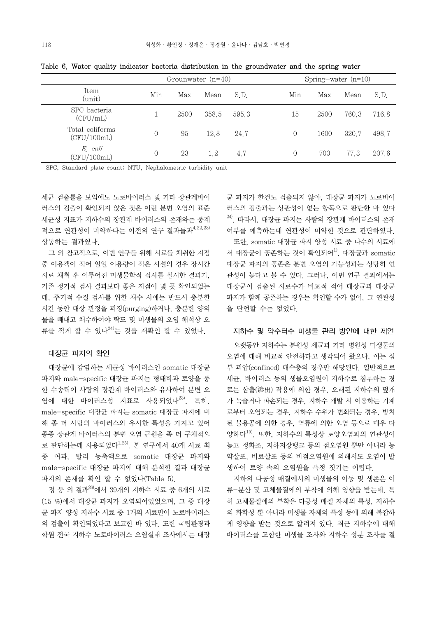|                                |          | Grounwater $(n=40)$ |       |       |  | Spring-water $(n=10)$ |      |       |       |
|--------------------------------|----------|---------------------|-------|-------|--|-----------------------|------|-------|-------|
| Item<br>(unit)                 | Min      | Max                 | Mean  | S.D.  |  | Min                   | Max  | Mean  | S.D.  |
| SPC bacteria<br>(CFU/mL)       |          | 2500                | 358.5 | 595.3 |  | 15                    | 2500 | 760.3 | 716.8 |
| Total coliforms<br>(CFU/100mL) | $\Omega$ | 95                  | 12.8  | 24.7  |  | $\left($              | 1600 | 320.7 | 498.7 |
| E. coli<br>(CFU/100mL)         |          | 23                  | 1,2   | 4.7   |  | $\theta$              | 700  | 77.3  | 207.6 |

Table 6. Water quality indicator bacteria distribution in the groundwater and the spring water

SPC, Standard plate count; NTU, Nephalometric turbidity unit

세균 검출률을 보임에도 노로바이러스 및 기타 장관계바이 러스의 검출이 확인되지 않은 것은 이런 분변 오염의 표준 세균성 지표가 지하수의 장관계 바이러스의 존재와는 통계 적으로 연관성이 미약하다는 이전의 연구 결과들과4,22,23) 상통하는 결과였다.

 그 외 참고적으로, 이번 연구를 위해 시료를 채취한 지점 중 이용객이 적어 일일 이용량이 적은 시설의 경우 장시간 시료 채취 후 이루어진 미생물학적 검사를 실시한 결과가, 기존 정기적 검사 결과보다 좋은 지점이 몇 곳 확인되었는 데, 주기적 수질 검사를 위한 채수 시에는 반드시 충분한 시간 동안 대상 관정을 퍼징(purging)하거나, 충분한 양의 물을 빼내고 채수하여야 탁도 및 미생물의 오염 해석상 오 류를 적게 할 수 있다<sup>24)</sup>는 것을 재확인 할 수 있었다.

#### 대장균 파지의 확인

 대장균에 감염하는 세균성 바이러스인 somatic 대장균 파지와 male-specific 대장균 파지는 형태학과 토양을 통 한 수송력이 사람의 장관계 바이러스와 유사하여 분변 오 염에 대한 바이러스성 지표로 사용되었다<sup>23)</sup>. 특히,<br>male-specific 대장균 파지는 somatic 대장균 파지에 비 해 좀 더 사람의 바이러스와 유사한 특성을 가지고 있어 종종 장관계 바이러스의 분변 오염 근원을 좀 더 구체적으 로 판단하는데 사용되었다<sup>1,25)</sup>. 본 연구에서 40개 시료 최 종 여과, 탈리 농축액으로 somatic 대장균 파지와 male-specific 대장균 파지에 대해 분석한 결과 대장균 파지의 존재를 확인 할 수 없었다(Table 5).

 정 등 의 결과26)에서 39개의 지하수 시료 중 6개의 시료 (15 %)에서 대장균 파지가 오염되어있었으며, 그 중 대장 균 파지 양성 지하수 시료 중 1개의 시료만이 노로바이러스 의 검출이 확인되었다고 보고한 바 있다. 또한 국립환경과 학원 전국 지하수 노로바이러스 오염실태 조사에서는 대장

균 파지가 한건도 검출되지 않아, 대장균 파지가 노로바이 러스의 검출과는 상관성이 없는 항목으로 판단한 바 있다  $^{24)}$ . 따라서. 대장균 파지는 사람의 장관계 바이러스의 존재 여부를 예측하는데 연관성이 미약한 것으로 판단하였다. 또한, somatic 대장균 파지 양성 시료 중 다수의 시료에 서 대장균이 공존하는 것이 확인되어<sup>1)</sup>, 대장균과 somatic 대장균 파지의 공존은 분변 오염의 가능성과는 상당히 연 관성이 높다고 볼 수 있다. 그러나, 이번 연구 결과에서는 대장균이 검출된 시료수가 비교적 적어 대장균과 대장균 파지가 함께 공존하는 경우는 확인할 수가 없어, 그 연관성 을 단언할 수는 없었다.

#### 지하수 및 약수터수 미생물 관리 방안에 대한 제언

 오랫동안 지하수는 분원성 세균과 기타 병원성 미생물의 오염에 대해 비교적 안전하다고 생각되어 왔으나, 이는 심 부 피압(confined) 대수층의 경우만 해당된다. 일반적으로 세균, 바이러스 등의 생물오염원이 지하수로 침투하는 경 로는 삼출(滲出) 작용에 의한 경우, 오래된 지하수의 덮개 가 녹슬거나 파손되는 경우, 지하수 개발 시 이용하는 기계 로부터 오염되는 경우, 지하수 수위가 변화되는 경우, 방치 된 불용공에 의한 경우, 역류에 의한 오염 등으로 매우 다 양하다15). 또한, 지하수의 특성상 토양오염과의 연관성이 높고 정화조, 지하저장탱크 등의 점오염원 뿐만 아니라 농 약살포, 비료살포 등의 비점오염원에 의해서도 오염이 발 생하여 토양 속의 오염원을 특정 짓기는 어렵다.

 지하의 다공성 매질에서의 미생물의 이동 및 생존은 이 류-분산 및 고체물질에의 부착에 의해 영향을 받는데, 특 히 고체물질에의 부착은 다공성 매질 자체의 특성, 지하수 의 화학성 뿐 아니라 미생물 자체의 특성 등에 의해 복잡하 게 영향을 받는 것으로 알려져 있다. 최근 지하수에 대해 바이러스를 포함한 미생물 조사와 지하수 성분 조사를 결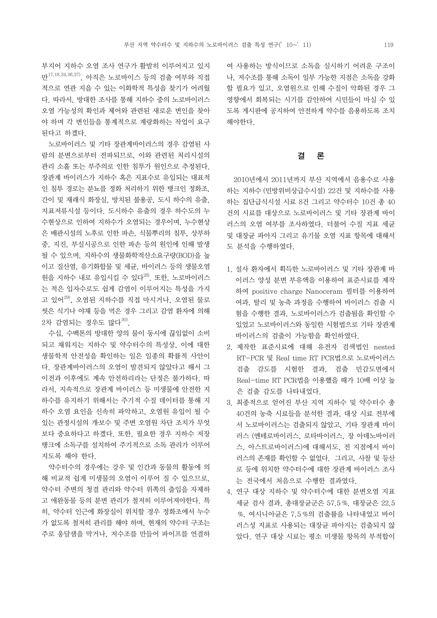부지어 지하수 오염 조사 연구가 활발히 이루어지고 있지 만<sup>17,18,24,26,27)</sup>, 아직은 노로바이스 등의 검출 여부와 직접 나, 저수조· 적으로 연관 지을 수 있는 이화학적 특성을 찾기가 어려웠 다. 따라서, 방대한 조사를 통해 지하수 중의 노로바이러스 오염 가능성의 확인과 제어와 관련된 새로운 변인을 찾아 야 하며 각 변인들을 통계적으로 계랑화하는 작업이 요구 된다고 하겠다.

 노로바이러스 및 기타 장관계바이러스의 경우 감염된 사 람의 분변으로부터 전파되므로, 이와 관련된 처리시설의 관리 소홀 또는 부주의로 인한 침투가 원인으로 추정된다.<br>장관계 바이러스가 지하수 혹은 지표수로 유입되는 대표적 인 침투 경로는 분뇨를 정화 처리하기 위한 탱크인 정화조,<br>간이 및 재래식 화장실, 방치된 불용공, 도시 하수의 유출,<br>지표저류시설 등이다. 도시하수 유출의 경우 하수도의 누 수현상으로 인하여 지하수가 오염되는 경우이며, 누수현상 은 배관시설의 노후로 인한 파손, 식물뿌리의 침투, 상부하 중, 지진, 부실시공으로 인한 파손 등의 원인에 인해 발생 될 수 있으며, 지하수의 생물화학적산소요구량(BOD)을 높 이고 질산염, 유기화합물 및 세균, 바이러스 등의 생물오염 원을 지하수 내로 유입시킬 수 있다 $^{28}$ . 또한, 노로바이러스 는 적은 입자수로도 쉽게 감염이 이루어지는 특성을 가지 고 있어 $^{29}$ , 오염된 지하수를 직접 마시거나, 오염된 물로 씻은 식기나 야채 등을 먹은 경우 그리고 감염 환자에 의해  $2$ 차 감염되는 경우도 많다 $^{30)}$ .

 수십, 수백톤의 방대한 양의 물이 동시에 끊임없이 소비 되고 채워지는 지하수 및 약수터수의 특성상, 이에 대한 생물학적 안전성을 확인하는 일은 일종의 확률적 사안이 다. 장관계바이러스의 오염이 발견되지 않았다고 해서 그 이전과 이후에도 계속 안전하리라는 단정은 불가하다. 따 라서, 지속적으로 장관계 바이러스 등 미생물에 안전한 지 하수를 유지하기 위해서는 주기적 수질 데이터를 통해 지 하수 오염 요인을 신속히 파악하고, 오염원 유입이 될 수 있는 관정시설의 개․보수 및 주변 오염원 차단 조치가 무엇 보다 중요하다고 하겠다. 또한, 필요한 경우 지하수 저장 탱크에 소독구를 설치하여 주기적으로 소독 관리가 이루어 지도록 해야 한다.

 약수터수의 경우에는 강우 및 인간과 동물의 활동에 의 해 비교적 쉽게 미생물의 오염이 이루어 질 수 있으므로,<br>약수터 주변의 청결 관리와 약수터 위쪽의 출입을 자제하 고 애완동물 등의 분변 관리가 철저히 이루어져야한다. 특 히, 약수터 인근에 화장실이 위치할 경우 정화조에서 누수 가 없도록 철저히 관리를 해야 하며, 현재의 약수터 구조는 주로 옹달샘을 막거나, 저수조를 만들어 파이프를 연결하

여 사용하는 방식이므로 소독을 실시하기 어려운 구조이 나, 저수조를 통해 소독이 일부 가능한 지점은 소독을 강화 할 필요가 있고, 오염원으로 인해 수질이 악화된 경우 그 영향에서 회복되는 시기를 감안하여 시민들이 마실 수 있 도록 게시판에 공지하여 안전하게 약수를 음용하도록 조치 해야한다.

# 결 론

 2010년에서 2011년까지 부산 지역에서 음용수로 사용 하는 지하수 (민방위비상급수시설) 22건 및 지하수를 사용 하는 집단급식시설 시료 8건 그리고 약수터수 10건 총 40 건의 시료를 대상으로 노로바이러스 및 기타 장관계 바이 러스의 오염 여부를 조사하였다. 더불어 수질 지표 세균 및 대장균 파아지 그리고 유기물 오염 지표 항목에 대해서 도 분석을 수행하였다.

- 1. 설사 환자에서 획득한 노로바이러스 및 기타 장관계 바 이러스 양성 분변 부유액을 이용하여 표준시료를 제작 하여 positive charge Nanoceram 필터를 이용하여 여과, 탈리 및 농축 과정을 수행하여 바이러스 검출 시 험을 수행한 결과, 노로바이러스가 검출됨을 확인할 수 있었고 노로바이러스와 동일한 시험법으로 기타 장관계 바이러스의 검출이 가능함을 확인하였다.
- 2. 제작한 표준시료에 대해 유전자 검색법인 nested RT-PCR 및 Real time RT PCR법으로 노로바이러스 검출 감도를 시험한 결과, 검출 민감도면에서 Real-time RT PCR법을 이용했을 때가 10배 이상 높 은 검출 감도를 나타내었다.
- 3. 최종적으로 얻어진 부산 지역 지하수 및 약수터수 총 40건의 농축 시료들을 분석한 결과, 대상 시료 전부에 서 노로바이러스는 검출되지 않았고, 기타 장관계 바이 러스 (엔테로바이러스, 로타바이러스, 장 아데노바이러 스, 아스트로바이러스)에 대해서도, 전 지점에서 바이 러스의 존재를 확인할 수 없었다. 그리고, 사찰 및 등산 로 등에 위치한 약수터수에 대한 장관계 바이러스 조사 는 전국에서 처음으로 수행한 결과였다.
- 4. 연구 대상 지하수 및 약수터수에 대한 분변오염 지표 세균 검사 결과, 총대장균군은 57.5 %, 대장균은 22.5 %, 여시니아균은 7.5 %의 검출률을 나타내었고 바이 러스성 지표로 사용되는 대장균 파아지는 검출되지 않 았다. 연구 대상 시료는 평소 미생물 항목의 부적합이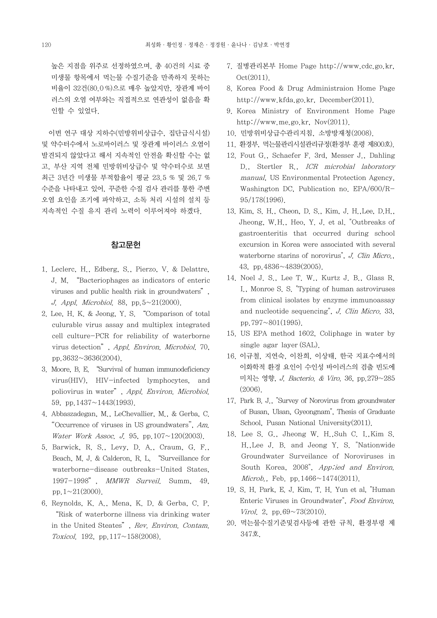높은 지점을 위주로 선정하였으며, 총 40건의 시료 중 미생물 항목에서 먹는물 수질기준을 만족하지 못하는 비율이 32건(80.0 %)으로 매우 높았지만, 장관계 바이 러스의 오염 여부와는 직접적으로 연관성이 없음을 확 인할 수 있었다.

 이번 연구 대상 지하수(민방위비상급수, 집단급식시설) 및 약수터수에서 노로바이러스 및 장관계 바이러스 오염이 발견되지 않았다고 해서 지속적인 안전을 확신할 수는 없 고, 부산 지역 전체 민방위비상급수 및 약수터수로 보면 최근 3년간 미생물 부적합율이 평균 23.5 % 및 26.7 % 수준을 나타내고 있어, 꾸준한 수질 검사 관리를 통한 주변 오염 요인을 조기에 파악하고, 소독 처리 시설의 설치 등 지속적인 수질 유지 관리 노력이 이루어져야 하겠다.

### 참고문헌

- 1. Leclerc, H., Edberg, S., Pierzo, V. & Delattre, J. M. "Bacteriophages as indicators of enteric viruses and public health risk in groundwaters", J. Appl. Microbiol. 88, pp.  $5 \sim 21(2000)$ .
- 2. Lee, H. K. & Jeong, Y. S. "Comparison of total culurable virus assay and multiplex integrated cell culture-PCR for reliability of waterborne virus detection", Appl. Environ. Microbiol. 70, pp.3632~3636(2004).
- 3. Moore, B. E. "Survival of human immunodeficiency virus(HIV), HIV-infected lymphocytes, and poliovirus in water", Appl. Environ. Microbiol. 59, pp.1437~1443(1993).
- 4. Abbaszadegan, M., LeChevallier, M., & Gerba, C. "Occurrence of viruses in US groundwaters", Am. Water Work Assoc. J. 95, pp.  $107 \sim 120(2003)$ .
- 5. Barwick, R. S., Levy, D. A., Craum, G. F., Beach, M. J. & Calderon, R. L. "Surveillance for waterborne-disease outbreaks-United States, 1997-1998", MMWR Surveil. Summ, 49, pp.  $1 \sim 21(2000)$ .
- 6. Reynolds, K. A., Mena, K. D. & Gerba, C. P. "Risk of waterborne illness via drinking water in the United Steates", Rev. Environ. Contam. Toxicol. 192, pp.  $117 \sim 158(2008)$ .
- 7. 질병관리본부 Home Page http://www.cdc.go.kr, Oct(2011).
- 8. Korea Food & Drug Administraion Home Page http://www.kfda.go.kr, December(2011).
- 9. Korea Ministry of Environment Home Page http://www.me.go.kr, Nov(2011).
- 10. 민방위비상급수관리지침, 소방방재청(2008).
- 11. 환경부, 먹는물관리시설관리규정(환경부 훈령 제800호).
- 12. Fout G., Schaefer F. 3rd, Messer J., Dahling D., Stertler R., ICR microbial laboratory manual, US Environmental Protection Agency, Washington DC, Publication no. EPA/600/R-95/178(1996).
- 13. Kim, S. H., Cheon, D. S., Kim, J. H.,Lee, D.H., Jheong, W.H., Heo, Y. J. et al. "Outbreaks of gastroenteritis that occurred during school excursion in Korea were associated with several waterborne starins of norovirus", *J. Clin Micro.*, 43, pp.4836~4839(2005).
- 14. Noel J. S., Lee T. W., Kurtz J. B., Glass R. I., Monroe S. S. "Typing of human astroviruses from clinical isolates by enzyme immunoassay and nucleotide sequencing", J. Clin Micro. 33, pp.797 $\sim$ 801(1995).
- 15. US EPA method 1602, Coliphage in water by single agar layer (SAL).
- 16. 이규철, 지연숙, 이찬희, 이상태, 한국 지표수에서의 이화학적 환경 요인이 수인성 바이러스의 검출 빈도에 미치는 영향, J. Bacterio. & Viro. 36, pp.279~285 (2006).
- 17. Park B. J., "Survey of Norovirus from groundwater of Busan, Ulsan, Gyeongnam", Thesis of Graduate School, Pusan National University(2011).
- 18. Lee S. G., Jheong W. H.,Suh C. I.,Kim S. H.,Lee J. B. and Jeong Y. S. "Nationwide Groundwater Surveilance of Noroviruses in South Korea, 2008", App;ied and Environ. *Microb.*, Feb. pp. 1466 $\sim$ 1474(2011).
- 19. S. H. Park, E. J. Kim, T. H. Yun et al, "Human Enteric Viruses in Groundwater", Food Environ. Virol. 2, pp.69 $\sim$ 73(2010).
- 20. 먹는물수질기준및검사등에 관한 규칙, 환경부령 제 347호.